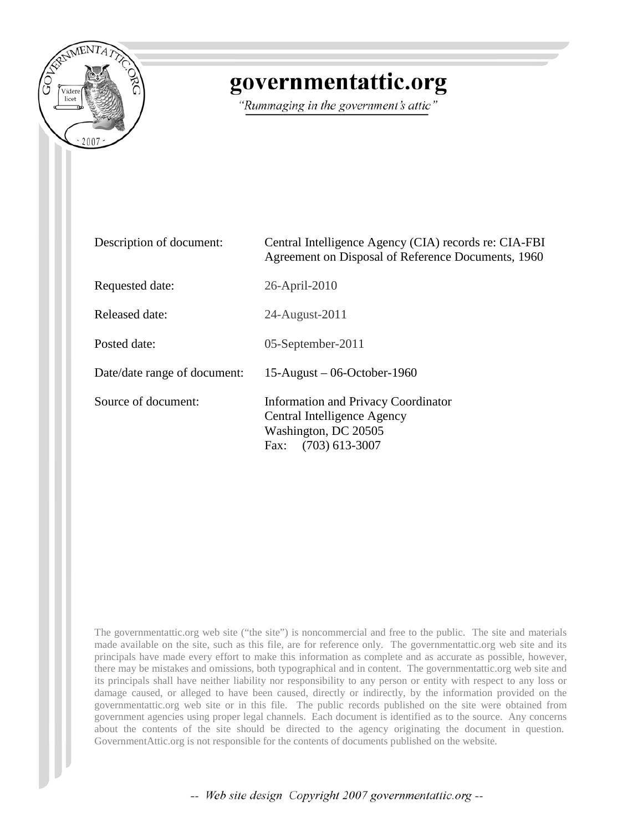

## governmentattic.org

"Rummaging in the government's attic"

| Description of document:     | Central Intelligence Agency (CIA) records re: CIA-FBI<br>Agreement on Disposal of Reference Documents, 1960                   |
|------------------------------|-------------------------------------------------------------------------------------------------------------------------------|
| Requested date:              | 26-April-2010                                                                                                                 |
| Released date:               | 24-August-2011                                                                                                                |
| Posted date:                 | 05-September-2011                                                                                                             |
| Date/date range of document: | $15$ -August – 06-October-1960                                                                                                |
| Source of document:          | <b>Information and Privacy Coordinator</b><br>Central Intelligence Agency<br>Washington, DC 20505<br>$(703)$ 613-3007<br>Fax: |

The governmentattic.org web site ("the site") is noncommercial and free to the public. The site and materials made available on the site, such as this file, are for reference only. The governmentattic.org web site and its principals have made every effort to make this information as complete and as accurate as possible, however, there may be mistakes and omissions, both typographical and in content. The governmentattic.org web site and its principals shall have neither liability nor responsibility to any person or entity with respect to any loss or damage caused, or alleged to have been caused, directly or indirectly, by the information provided on the governmentattic.org web site or in this file. The public records published on the site were obtained from government agencies using proper legal channels. Each document is identified as to the source. Any concerns about the contents of the site should be directed to the agency originating the document in question. GovernmentAttic.org is not responsible for the contents of documents published on the website.

-- Web site design Copyright 2007 governmentattic.org --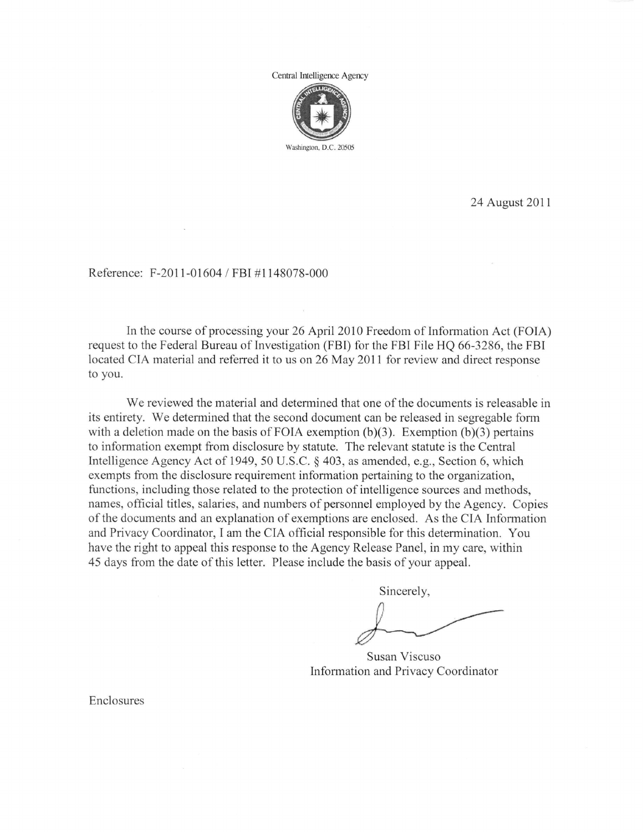Central Intelligence Agency



24 August 2011

Reference: F-2011-01604 / FBI #1148078-000

In the course of processing your 26 April 2010 Freedom of Information Act (FOIA) request to the Federal Bureau of Investigation (FBI) for the FBI File HQ 66-3286, the FBI located CIA material and referred it to us on 26 May 2011 for review and direct response to you.

We reviewed the material and determined that one of the documents is releasable in its entirety. We determined that the second document can be released in segregable fonn with a deletion made on the basis of FOIA exemption  $(b)(3)$ . Exemption  $(b)(3)$  pertains to information exempt from disclosure by statute. The relevant statute is the Central Intelligence Agency Act of 1949, 50 U.S.C. § 403, as amended, e.g., Section 6, which exempts from the disclosure requirement information pertaining to the organization, functions, including those related to the protection of intelligence sources and methods, names, official titles, salaries, and numbers of personnel employed by the Agency. Copies of the documents and an explanation of exemptions are enclosed. As the CIA Information and Privacy Coordinator, I am the CIA official responsible for this determination. You have the right to appeal this response to the Agency Release Panel, in my care, within 45 days from the date of this letter. Please include the basis of your appeal.

Sincerely,

Susan Viscuso Information and Privacy Coordinator

Enclosures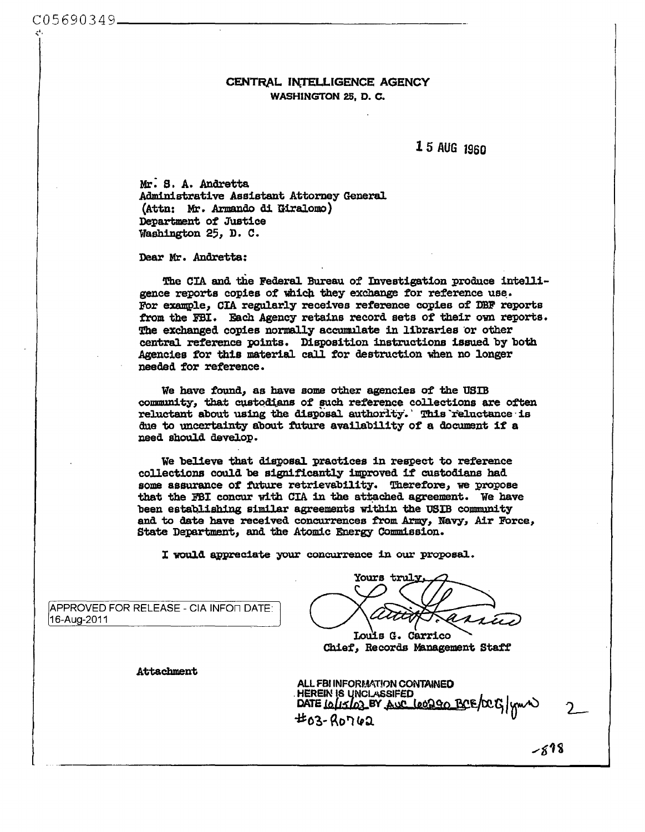## CENTRAL INTELLIGENCE AGENCY WASHINGTON 25. D. C.

15 AUG 1960

Mr. S. A. Andretta Administrative Assistant Attorney General (Attn: Mr. Armando di Giralomo) Department of Justice Washington 25, D. C.

Dear Mr. Andretta:

The CIA and the Federal Bureau of Investigation produce intelligence reports copies of which they exchange for reference use. For example, CIA regularly receives reference copies of DBF reports from the FBI. Each Agency retains record sets of their own reports. The exchanged copies normally accumulate in libraries or other central reference points. Disposition instructions issued by both Agencies for this material call for destruction when no longer needed for reference.

We have found, as have some other agencies of the USIB community, that custodians of such reference collections are often reluctant about using the disposal authority. This reluctance is due to uncertainty about future availability of a document if a need should develop.

We believe that disposal practices in respect to reference collections could be significantly improved if custodians had some assurance of future retrievability. Therefore, we propose that the FBI concur with CIA in the attached agreement. We have been establishing similar agreements within the USIB community and to date have received concurrences from Army, Navy, Air Force, State Department, and the Atomic Energy Commission.

I would appreciate your concurrence in our proposal.

APPROVED FOR RELEASE - CIA INFOT DATE: 16-Aug-2011

Yours truly  $\boldsymbol{\varkappa}_{\boldsymbol{\mathcal{A}}}$ 

Louis G. Carrico Chief, Records Management Staff

**Attachment** 

| ALL FBI INFORMATION CONTAINED<br>HEREIN IS UNCLASSIFED<br>DATE <u>(O/LJ/OJ EV AWC (OOD GO BC</u> E/OCG) ym/W |  |
|--------------------------------------------------------------------------------------------------------------|--|
| #03-Ro762                                                                                                    |  |

 $-818$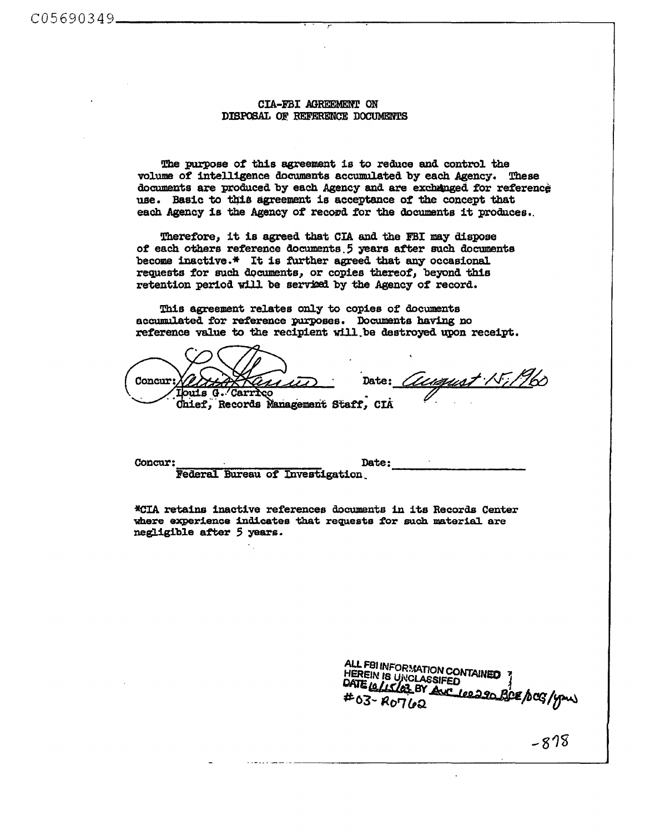## CIA-FBI AGREEMENr ON DISPOSAL OF. REFERENCE DOCUMENTS

The purpose of this agreement is to reduce and control the volume of intelligence documents accumulated by each Agency. These documents are produced by each Agency and are exchanged for reference use. Basic to this agreement is acceptance of the concept that each Agency is the Agency of record for the documents it produces.

Therefore, it is agreed that CIA and the FBI may dispose *ot* each others reference documents. 5 years after such clocuments become inactive.\* It is further agreed that any occasional requests for such documents, or copies thereof, beyond this retention period will be serviced by the Agency of record.

This agreement relates only to copies of documents accumulated for reference purposes, Documents having no reference value to the recipient will be destroyed upon receipt.

Concur: **Iouis G. Carrico** Chief, Records Management Staff, CIA

<u>tuqust 15:196</u> Date: 7

Concur: Date: Federal Bureau of Investigation.

\*CIA retains inactive references documents in its Records Center where experience indicates that requests for such material are negligible after 5 years.

ALL FBI INFORMATION CONTAINED HEREIN IS UNCLASSIFED DATE 10/15/03 BY AVC 100290 BCE/OCG/your  $*63 - R0762$ 

 $\sim$   $\delta$  10